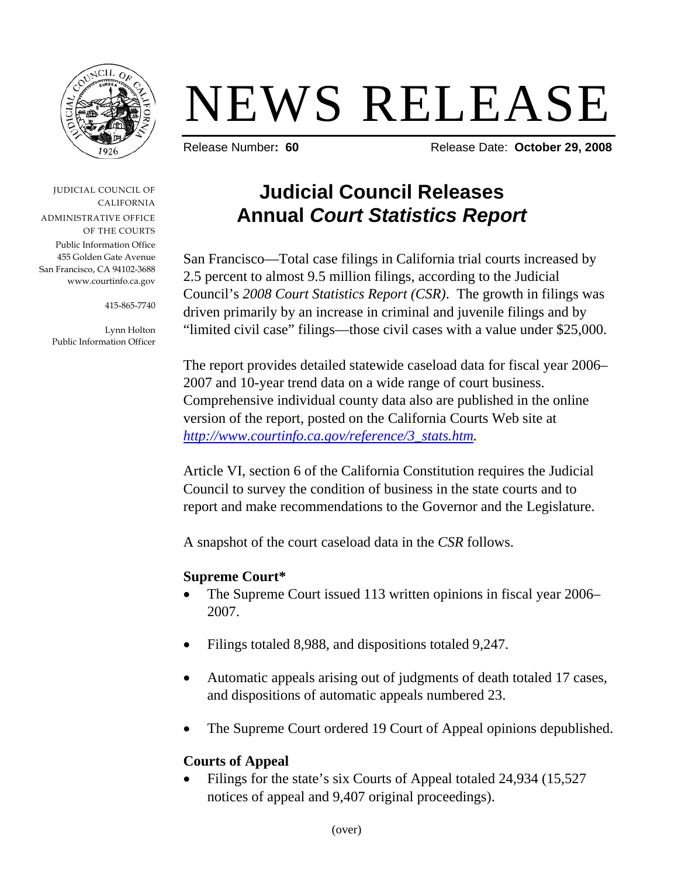

# NEWS RELEASE

Release Number**: 60** Release Date: **October 29, 2008** 

JUDICIAL COUNCIL OF CALIFORNIA ADMINISTRATIVE OFFICE OF THE COURTS Public Information Office 455 Golden Gate Avenue San Francisco, CA 94102-3688 www.courtinfo.ca.gov

415-865-7740

Lynn Holton Public Information Officer

## **Judicial Council Releases Annual** *Court Statistics Report*

San Francisco—Total case filings in California trial courts increased by 2.5 percent to almost 9.5 million filings, according to the Judicial Council's *2008 Court Statistics Report (CSR)*. The growth in filings was driven primarily by an increase in criminal and juvenile filings and by "limited civil case" filings—those civil cases with a value under \$25,000.

The report provides detailed statewide caseload data for fiscal year 2006– 2007 and 10-year trend data on a wide range of court business. Comprehensive individual county data also are published in the online version of the report, posted on the California Courts Web site at *[http://www.courtinfo.ca.gov/reference/3\\_stats.htm.](http://www.courtinfo.ca.gov/reference/3_stats.htm)* 

Article VI, section 6 of the California Constitution requires the Judicial Council to survey the condition of business in the state courts and to report and make recommendations to the Governor and the Legislature.

A snapshot of the court caseload data in the *CSR* follows.

#### **Supreme Court\***

- The Supreme Court issued 113 written opinions in fiscal year 2006– 2007.
- Filings totaled 8,988, and dispositions totaled 9,247.
- Automatic appeals arising out of judgments of death totaled 17 cases, and dispositions of automatic appeals numbered 23.
- The Supreme Court ordered 19 Court of Appeal opinions depublished.

### **Courts of Appeal**

Filings for the state's six Courts of Appeal totaled 24,934 (15,527) notices of appeal and 9,407 original proceedings).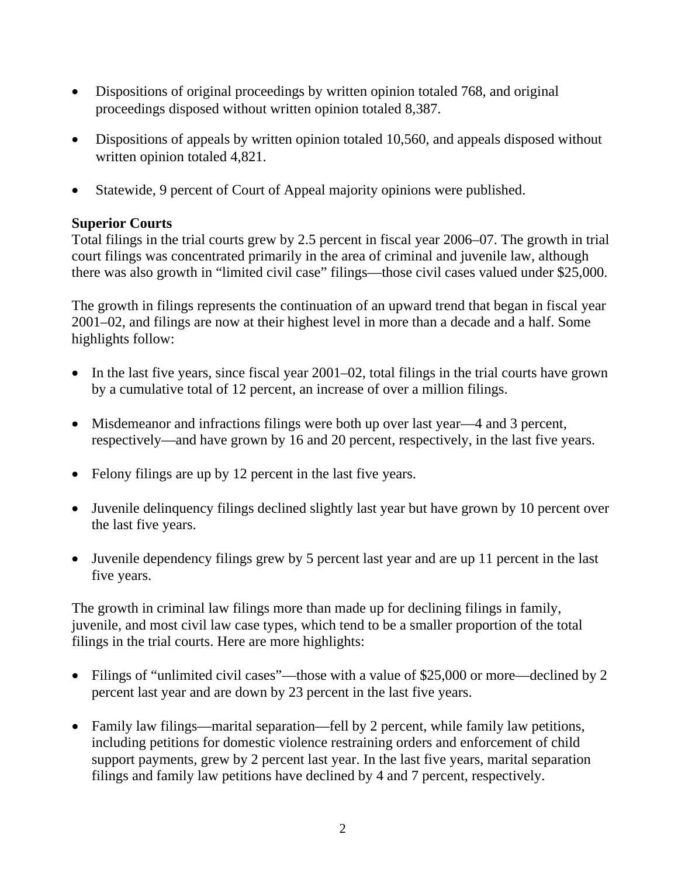- Dispositions of original proceedings by written opinion totaled 768, and original proceedings disposed without written opinion totaled 8,387.
- Dispositions of appeals by written opinion totaled 10,560, and appeals disposed without written opinion totaled 4,821.
- Statewide, 9 percent of Court of Appeal majority opinions were published.

#### **Superior Courts**

Total filings in the trial courts grew by 2.5 percent in fiscal year 2006–07. The growth in trial court filings was concentrated primarily in the area of criminal and juvenile law, although there was also growth in "limited civil case" filings—those civil cases valued under \$25,000.

The growth in filings represents the continuation of an upward trend that began in fiscal year 2001–02, and filings are now at their highest level in more than a decade and a half. Some highlights follow:

- In the last five years, since fiscal year 2001–02, total filings in the trial courts have grown by a cumulative total of 12 percent, an increase of over a million filings.
- Misdemeanor and infractions filings were both up over last year—4 and 3 percent, respectively—and have grown by 16 and 20 percent, respectively, in the last five years.
- Felony filings are up by 12 percent in the last five years.
- Juvenile delinquency filings declined slightly last year but have grown by 10 percent over the last five years.
- Juvenile dependency filings grew by 5 percent last year and are up 11 percent in the last five years.

The growth in criminal law filings more than made up for declining filings in family, juvenile, and most civil law case types, which tend to be a smaller proportion of the total filings in the trial courts. Here are more highlights:

- Filings of "unlimited civil cases"—those with a value of \$25,000 or more—declined by 2 percent last year and are down by 23 percent in the last five years.
- Family law filings—marital separation—fell by 2 percent, while family law petitions, including petitions for domestic violence restraining orders and enforcement of child support payments, grew by 2 percent last year. In the last five years, marital separation filings and family law petitions have declined by 4 and 7 percent, respectively.